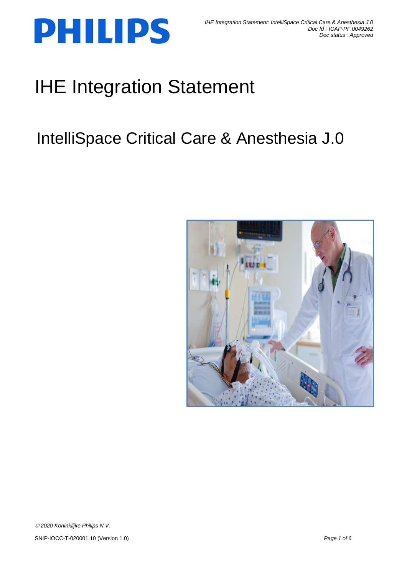

# IHE Integration Statement

## IntelliSpace Critical Care & Anesthesia J.0

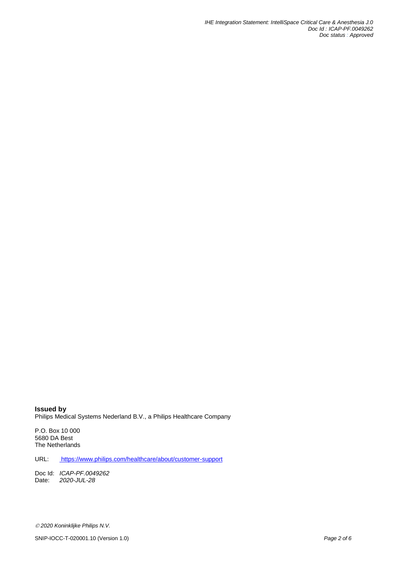*IHE Integration Statement: IntelliSpace Critical Care & Anesthesia J.0 Doc Id : ICAP-PF.0049262 Doc status : Approved*

**Issued by** Philips Medical Systems Nederland B.V., a Philips Healthcare Company

P.O. Box 10 000 5680 DA Best The Netherlands

URL: <https://www.philips.com/healthcare/about/customer-support>

Doc Id: *ICAP-PF.0049262* Date: *2020-JUL-28*

SNIP-IOCC-T-020001.10 (Version 1.0) *Page 2 of 6*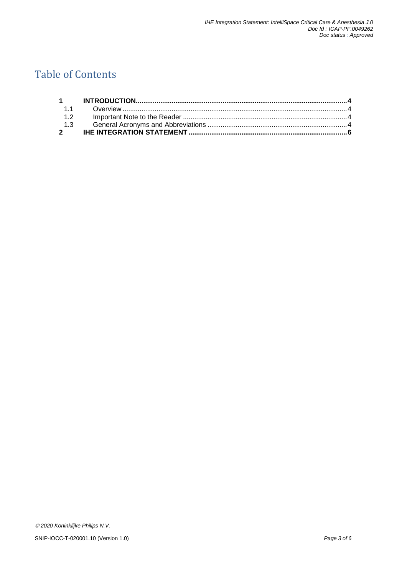## Table of Contents

| 12 |  |
|----|--|
|    |  |
|    |  |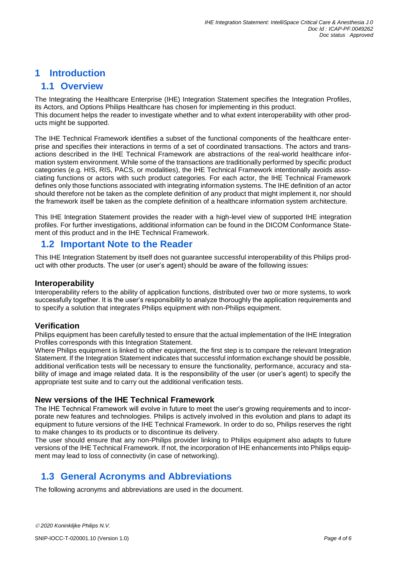#### <span id="page-3-0"></span>**1 Introduction**

#### <span id="page-3-1"></span>**1.1 Overview**

The Integrating the Healthcare Enterprise (IHE) Integration Statement specifies the Integration Profiles, its Actors, and Options Philips Healthcare has chosen for implementing in this product. This document helps the reader to investigate whether and to what extent interoperability with other products might be supported.

The IHE Technical Framework identifies a subset of the functional components of the healthcare enterprise and specifies their interactions in terms of a set of coordinated transactions. The actors and transactions described in the IHE Technical Framework are abstractions of the real-world healthcare information system environment. While some of the transactions are traditionally performed by specific product categories (e.g. HIS, RIS, PACS, or modalities), the IHE Technical Framework intentionally avoids associating functions or actors with such product categories. For each actor, the IHE Technical Framework defines only those functions associated with integrating information systems. The IHE definition of an actor should therefore not be taken as the complete definition of any product that might implement it, nor should the framework itself be taken as the complete definition of a healthcare information system architecture.

This IHE Integration Statement provides the reader with a high-level view of supported IHE integration profiles. For further investigations, additional information can be found in the DICOM Conformance Statement of this product and in the IHE Technical Framework.

#### <span id="page-3-2"></span>**1.2 Important Note to the Reader**

This IHE Integration Statement by itself does not guarantee successful interoperability of this Philips product with other products. The user (or user's agent) should be aware of the following issues:

#### **Interoperability**

Interoperability refers to the ability of application functions, distributed over two or more systems, to work successfully together. It is the user's responsibility to analyze thoroughly the application requirements and to specify a solution that integrates Philips equipment with non-Philips equipment.

#### **Verification**

Philips equipment has been carefully tested to ensure that the actual implementation of the IHE Integration Profiles corresponds with this Integration Statement.

Where Philips equipment is linked to other equipment, the first step is to compare the relevant Integration Statement. If the Integration Statement indicates that successful information exchange should be possible, additional verification tests will be necessary to ensure the functionality, performance, accuracy and stability of image and image related data. It is the responsibility of the user (or user's agent) to specify the appropriate test suite and to carry out the additional verification tests.

#### **New versions of the IHE Technical Framework**

The IHE Technical Framework will evolve in future to meet the user's growing requirements and to incorporate new features and technologies. Philips is actively involved in this evolution and plans to adapt its equipment to future versions of the IHE Technical Framework. In order to do so, Philips reserves the right to make changes to its products or to discontinue its delivery.

The user should ensure that any non-Philips provider linking to Philips equipment also adapts to future versions of the IHE Technical Framework. If not, the incorporation of IHE enhancements into Philips equipment may lead to loss of connectivity (in case of networking).

### <span id="page-3-3"></span>**1.3 General Acronyms and Abbreviations**

The following acronyms and abbreviations are used in the document.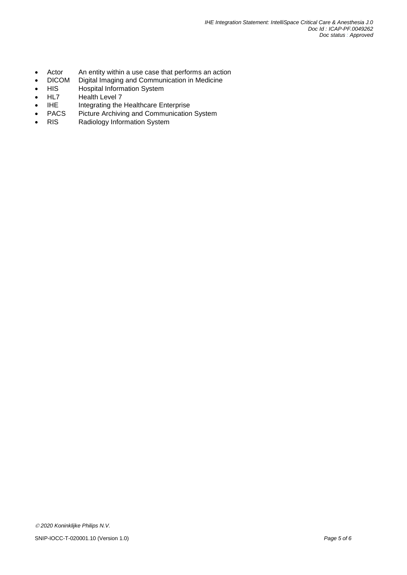- Actor An entity within a use case that performs an action
- DICOM Digital Imaging and Communication in Medicine<br>HIS Hospital Information System
- HIS Hospital Information System<br>HL7 Health Level 7
- HL7 Health Level 7
- IHE Integrating the Healthcare Enterprise
- PACS Picture Archiving and Communication System<br>• RIS Radiology Information System
- RIS Radiology Information System